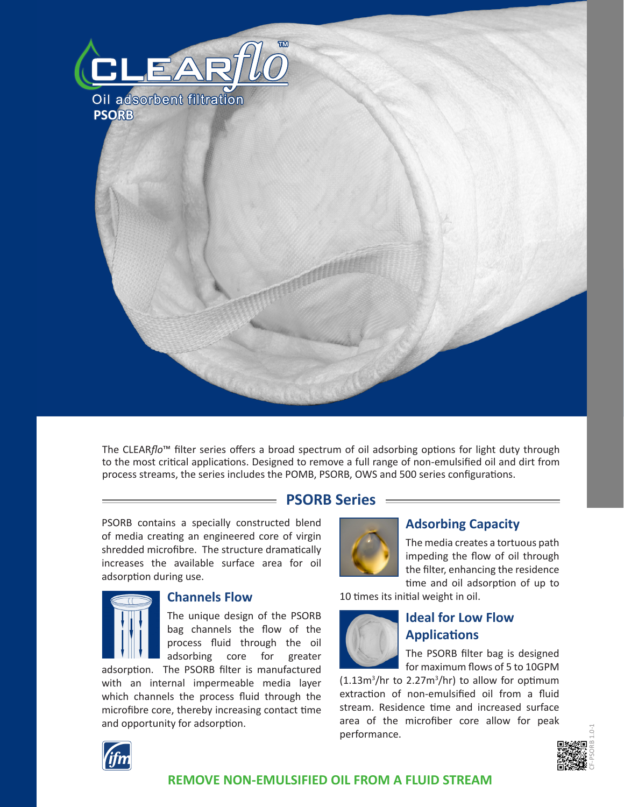

The CLEAR*flo*™ filter series offers a broad spectrum of oil adsorbing options for light duty through to the most critical applications. Designed to remove a full range of non-emulsified oil and dirt from process streams, the series includes the POMB, PSORB, OWS and 500 series configurations.

## **PSORB Series**

PSORB contains a specially constructed blend of media creating an engineered core of virgin shredded microfibre. The structure dramatically increases the available surface area for oil adsorption during use.



#### **Channels Flow**

The unique design of the PSORB bag channels the flow of the process fluid through the oil adsorbing core for greater

adsorption. The PSORB filter is manufactured with an internal impermeable media layer which channels the process fluid through the microfibre core, thereby increasing contact time and opportunity for adsorption.



### **Adsorbing Capacity**

The media creates a tortuous path impeding the flow of oil through the filter, enhancing the residence time and oil adsorption of up to

10 times its initial weight in oil.



# **Ideal for Low Flow Applications**

The PSORB filter bag is designed for maximum flows of 5 to 10GPM

 $(1.13m<sup>3</sup>/hr$  to  $2.27m<sup>3</sup>/hr$ ) to allow for optimum extraction of non-emulsified oil from a fluid stream. Residence time and increased surface area of the microfiber core allow for peak performance.